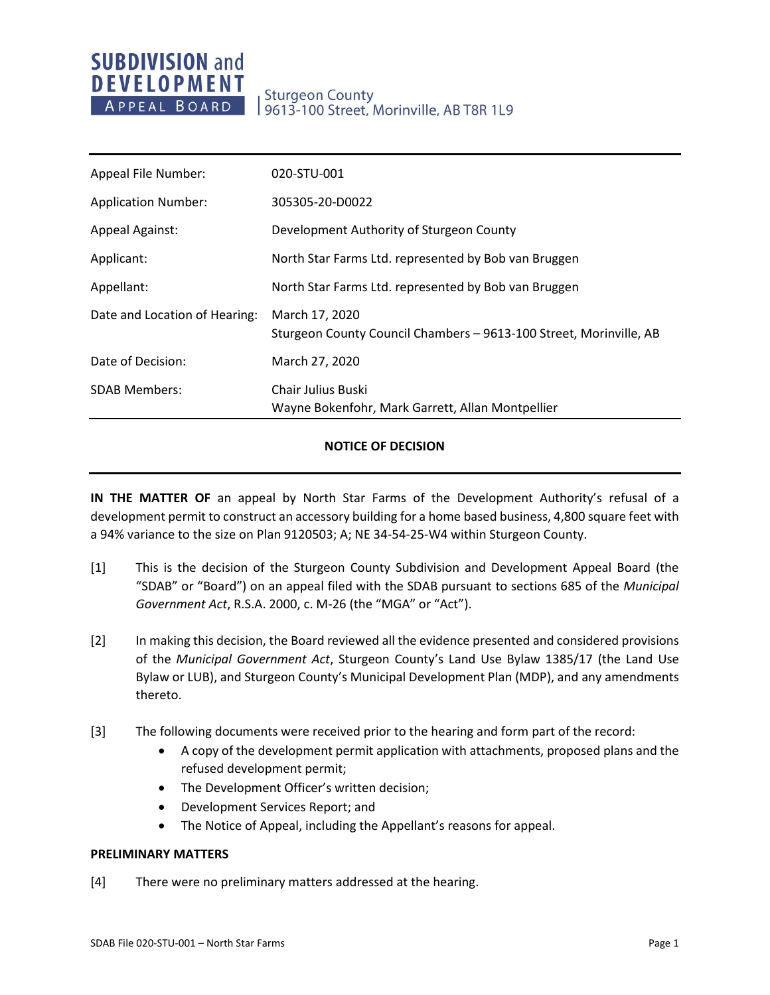| Appeal File Number:           | 020-STU-001                                                                          |
|-------------------------------|--------------------------------------------------------------------------------------|
| <b>Application Number:</b>    | 305305-20-D0022                                                                      |
| <b>Appeal Against:</b>        | Development Authority of Sturgeon County                                             |
| Applicant:                    | North Star Farms Ltd. represented by Bob van Bruggen                                 |
| Appellant:                    | North Star Farms Ltd. represented by Bob van Bruggen                                 |
| Date and Location of Hearing: | March 17, 2020<br>Sturgeon County Council Chambers - 9613-100 Street, Morinville, AB |
| Date of Decision:             | March 27, 2020                                                                       |
| <b>SDAB Members:</b>          | <b>Chair Julius Buski</b><br>Wayne Bokenfohr, Mark Garrett, Allan Montpellier        |

### **NOTICE OF DECISION**

**IN THE MATTER OF** an appeal by North Star Farms of the Development Authority's refusal of a development permit to construct an accessory building for a home based business, 4,800 square feet with a 94% variance to the size on Plan 9120503; A; NE 34-54-25-W4 within Sturgeon County.

- [1] This is the decision of the Sturgeon County Subdivision and Development Appeal Board (the "SDAB" or "Board") on an appeal filed with the SDAB pursuant to sections 685 of the *Municipal Government Act*, R.S.A. 2000, c. M-26 (the "MGA" or "Act").
- [2] In making this decision, the Board reviewed all the evidence presented and considered provisions of the *Municipal Government Act*, Sturgeon County's Land Use Bylaw 1385/17 (the Land Use Bylaw or LUB), and Sturgeon County's Municipal Development Plan (MDP), and any amendments thereto.
- [3] The following documents were received prior to the hearing and form part of the record:
	- A copy of the development permit application with attachments, proposed plans and the refused development permit;
	- The Development Officer's written decision;
	- Development Services Report; and
	- The Notice of Appeal, including the Appellant's reasons for appeal.

### **PRELIMINARY MATTERS**

[4] There were no preliminary matters addressed at the hearing.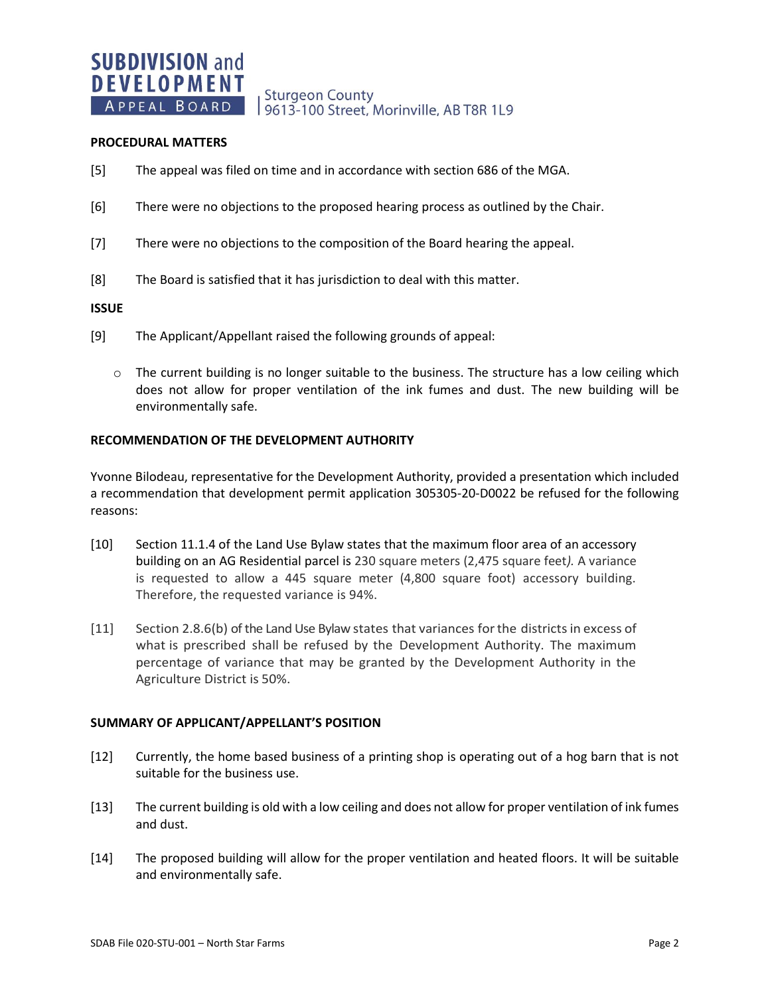**Sturgeon County** 9613-100 Street, Morinville, AB T8R 1L9

### **PROCEDURAL MATTERS**

- [5] The appeal was filed on time and in accordance with section 686 of the MGA.
- [6] There were no objections to the proposed hearing process as outlined by the Chair.
- [7] There were no objections to the composition of the Board hearing the appeal.
- [8] The Board is satisfied that it has jurisdiction to deal with this matter.

### **ISSUE**

- [9] The Applicant/Appellant raised the following grounds of appeal:
	- $\circ$  The current building is no longer suitable to the business. The structure has a low ceiling which does not allow for proper ventilation of the ink fumes and dust. The new building will be environmentally safe.

### **RECOMMENDATION OF THE DEVELOPMENT AUTHORITY**

Yvonne Bilodeau, representative for the Development Authority, provided a presentation which included a recommendation that development permit application 305305-20-D0022 be refused for the following reasons:

- [10] Section 11.1.4 of the Land Use Bylaw states that the maximum floor area of an accessory building on an AG Residential parcel is 230 square meters (2,475 square feet*).* A variance is requested to allow a 445 square meter (4,800 square foot) accessory building. Therefore, the requested variance is 94%.
- [11] Section 2.8.6(b) of the Land Use Bylaw states that variances forthe districtsin excess of what is prescribed shall be refused by the Development Authority. The maximum percentage of variance that may be granted by the Development Authority in the Agriculture District is 50%.

#### **SUMMARY OF APPLICANT/APPELLANT'S POSITION**

- [12] Currently, the home based business of a printing shop is operating out of a hog barn that is not suitable for the business use.
- [13] The current building is old with a low ceiling and does not allow for proper ventilation of ink fumes and dust.
- [14] The proposed building will allow for the proper ventilation and heated floors. It will be suitable and environmentally safe.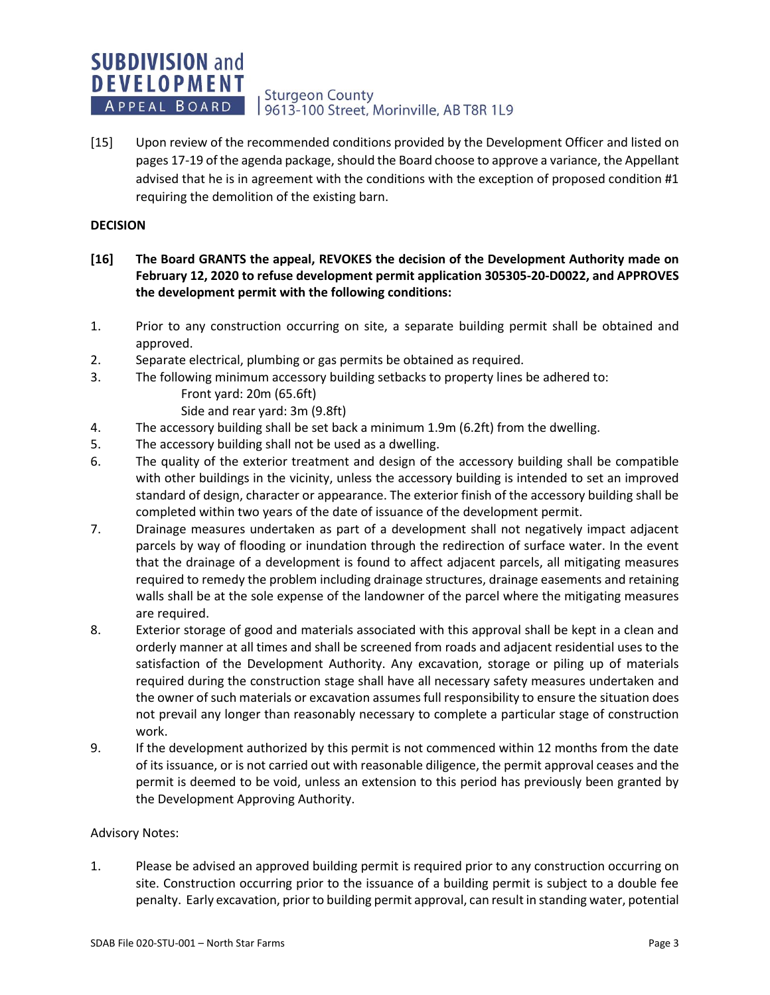### **SUBDIVISION and DEVELOPMENT Sturgeon County** APPEAL BOARD 9613-100 Street, Morinville, AB T8R 1L9

[15] Upon review of the recommended conditions provided by the Development Officer and listed on pages 17-19 of the agenda package, should the Board choose to approve a variance, the Appellant advised that he is in agreement with the conditions with the exception of proposed condition #1 requiring the demolition of the existing barn.

## **DECISION**

- **[16] The Board GRANTS the appeal, REVOKES the decision of the Development Authority made on February 12, 2020 to refuse development permit application 305305-20-D0022, and APPROVES the development permit with the following conditions:**
- 1. Prior to any construction occurring on site, a separate building permit shall be obtained and approved.
- 2. Separate electrical, plumbing or gas permits be obtained as required.
- 3. The following minimum accessory building setbacks to property lines be adhered to:
	- Front yard: 20m (65.6ft)
	- Side and rear yard: 3m (9.8ft)
- 4. The accessory building shall be set back a minimum 1.9m (6.2ft) from the dwelling.
- 5. The accessory building shall not be used as a dwelling.
- 6. The quality of the exterior treatment and design of the accessory building shall be compatible with other buildings in the vicinity, unless the accessory building is intended to set an improved standard of design, character or appearance. The exterior finish of the accessory building shall be completed within two years of the date of issuance of the development permit.
- 7. Drainage measures undertaken as part of a development shall not negatively impact adjacent parcels by way of flooding or inundation through the redirection of surface water. In the event that the drainage of a development is found to affect adjacent parcels, all mitigating measures required to remedy the problem including drainage structures, drainage easements and retaining walls shall be at the sole expense of the landowner of the parcel where the mitigating measures are required.
- 8. Exterior storage of good and materials associated with this approval shall be kept in a clean and orderly manner at all times and shall be screened from roads and adjacent residential uses to the satisfaction of the Development Authority. Any excavation, storage or piling up of materials required during the construction stage shall have all necessary safety measures undertaken and the owner of such materials or excavation assumes full responsibility to ensure the situation does not prevail any longer than reasonably necessary to complete a particular stage of construction work.
- 9. If the development authorized by this permit is not commenced within 12 months from the date of its issuance, or is not carried out with reasonable diligence, the permit approval ceases and the permit is deemed to be void, unless an extension to this period has previously been granted by the Development Approving Authority.

### Advisory Notes:

1. Please be advised an approved building permit is required prior to any construction occurring on site. Construction occurring prior to the issuance of a building permit is subject to a double fee penalty. Early excavation, prior to building permit approval, can result in standing water, potential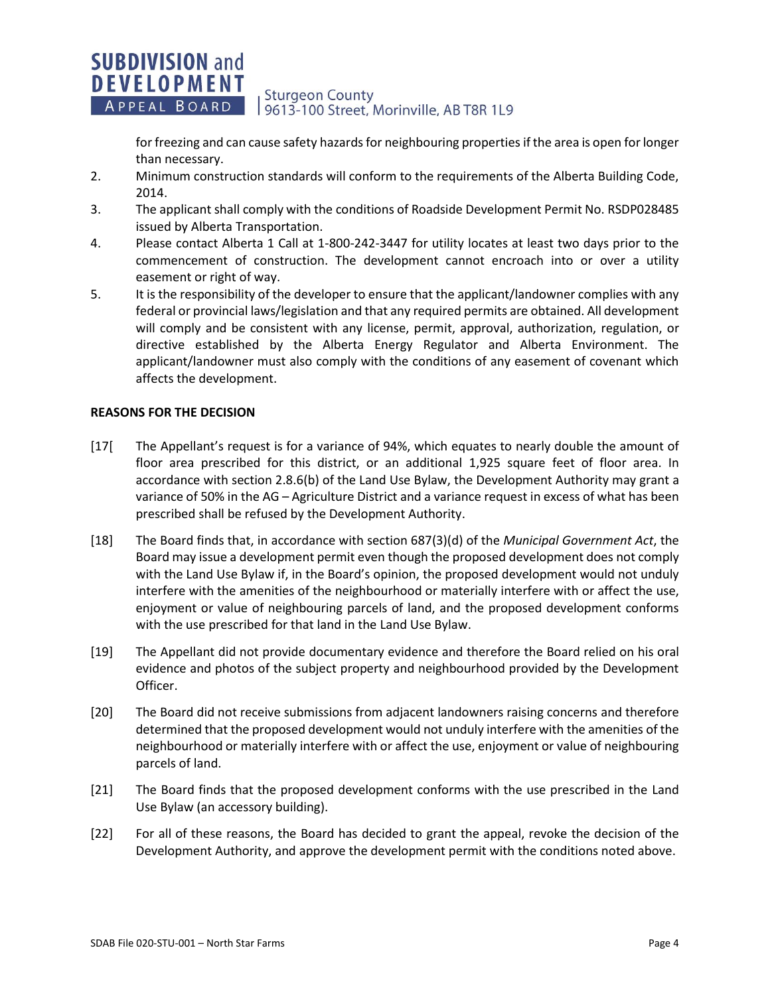### **SUBDIVISION and DEVELOPMENT Sturgeon County** APPEAL BOARD 9613-100 Street, Morinville, AB T8R 1L9

for freezing and can cause safety hazards for neighbouring properties if the area is open for longer than necessary.

- 2. Minimum construction standards will conform to the requirements of the Alberta Building Code, 2014.
- 3. The applicant shall comply with the conditions of Roadside Development Permit No. RSDP028485 issued by Alberta Transportation.
- 4. Please contact Alberta 1 Call at 1-800-242-3447 for utility locates at least two days prior to the commencement of construction. The development cannot encroach into or over a utility easement or right of way.
- 5. It is the responsibility of the developer to ensure that the applicant/landowner complies with any federal or provincial laws/legislation and that any required permits are obtained. All development will comply and be consistent with any license, permit, approval, authorization, regulation, or directive established by the Alberta Energy Regulator and Alberta Environment. The applicant/landowner must also comply with the conditions of any easement of covenant which affects the development.

## **REASONS FOR THE DECISION**

- [17[ The Appellant's request is for a variance of 94%, which equates to nearly double the amount of floor area prescribed for this district, or an additional 1,925 square feet of floor area. In accordance with section 2.8.6(b) of the Land Use Bylaw, the Development Authority may grant a variance of 50% in the AG – Agriculture District and a variance request in excess of what has been prescribed shall be refused by the Development Authority.
- [18] The Board finds that, in accordance with section 687(3)(d) of the *Municipal Government Act*, the Board may issue a development permit even though the proposed development does not comply with the Land Use Bylaw if, in the Board's opinion, the proposed development would not unduly interfere with the amenities of the neighbourhood or materially interfere with or affect the use, enjoyment or value of neighbouring parcels of land, and the proposed development conforms with the use prescribed for that land in the Land Use Bylaw.
- [19] The Appellant did not provide documentary evidence and therefore the Board relied on his oral evidence and photos of the subject property and neighbourhood provided by the Development Officer.
- [20] The Board did not receive submissions from adjacent landowners raising concerns and therefore determined that the proposed development would not unduly interfere with the amenities of the neighbourhood or materially interfere with or affect the use, enjoyment or value of neighbouring parcels of land.
- [21] The Board finds that the proposed development conforms with the use prescribed in the Land Use Bylaw (an accessory building).
- [22] For all of these reasons, the Board has decided to grant the appeal, revoke the decision of the Development Authority, and approve the development permit with the conditions noted above.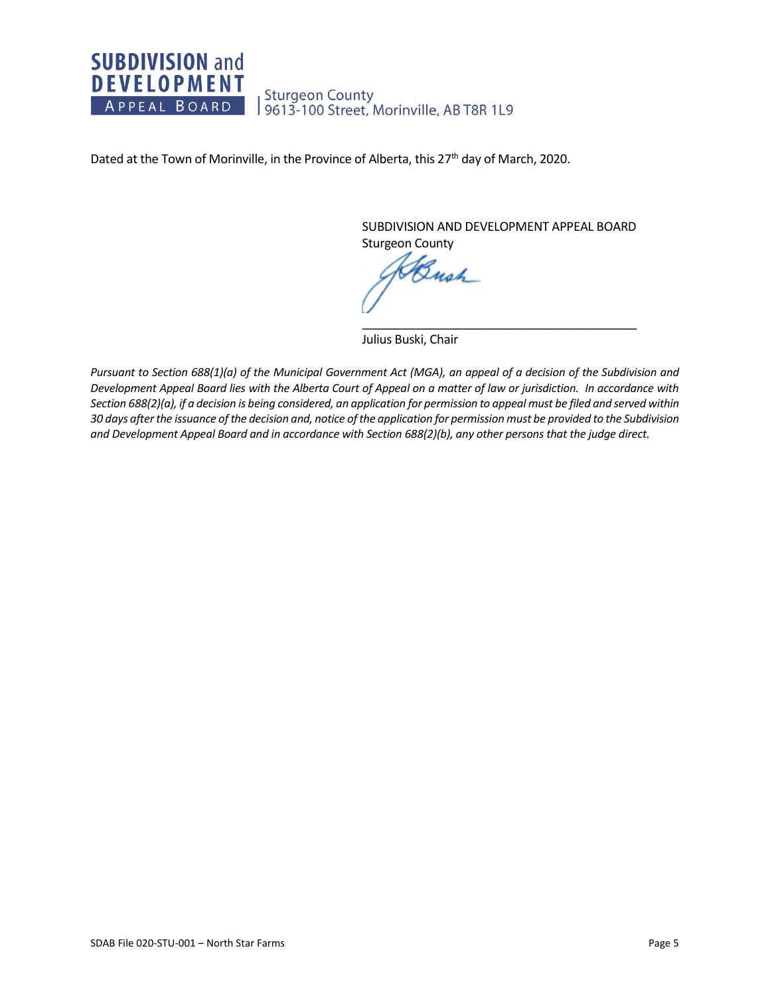

Dated at the Town of Morinville, in the Province of Alberta, this 27<sup>th</sup> day of March, 2020.

SUBDIVISION AND DEVELOPMENT APPEAL BOARD Sturgeon County

 $\overline{\phantom{a}}$  , and the set of the set of the set of the set of the set of the set of the set of the set of the set of the set of the set of the set of the set of the set of the set of the set of the set of the set of the s

Bush

Julius Buski, Chair

*Pursuant to Section 688(1)(a) of the Municipal Government Act (MGA), an appeal of a decision of the Subdivision and Development Appeal Board lies with the Alberta Court of Appeal on a matter of law or jurisdiction. In accordance with Section 688(2)(a), if a decision is being considered, an application for permission to appeal must be filed and served within 30 days after the issuance of the decision and, notice of the application for permission must be provided to the Subdivision and Development Appeal Board and in accordance with Section 688(2)(b), any other persons that the judge direct.*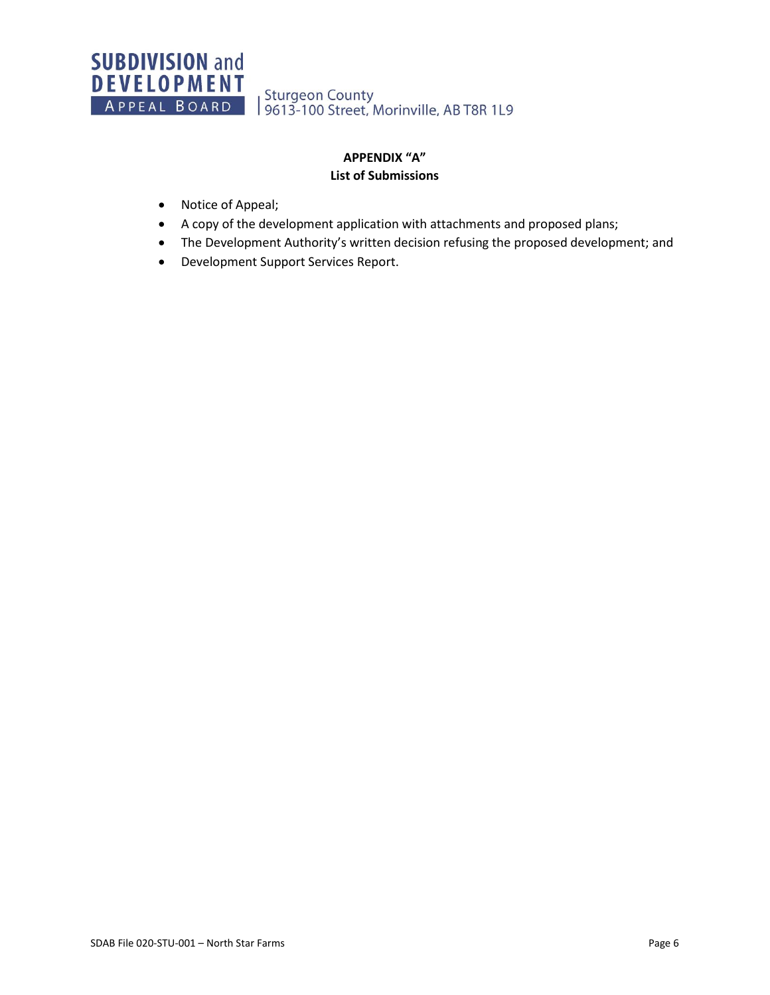Sturgeon County<br>| 9613-100 Street, Morinville, AB T8R 1L9

# **APPENDIX "A" List of Submissions**

- Notice of Appeal;
- A copy of the development application with attachments and proposed plans;
- The Development Authority's written decision refusing the proposed development; and
- Development Support Services Report.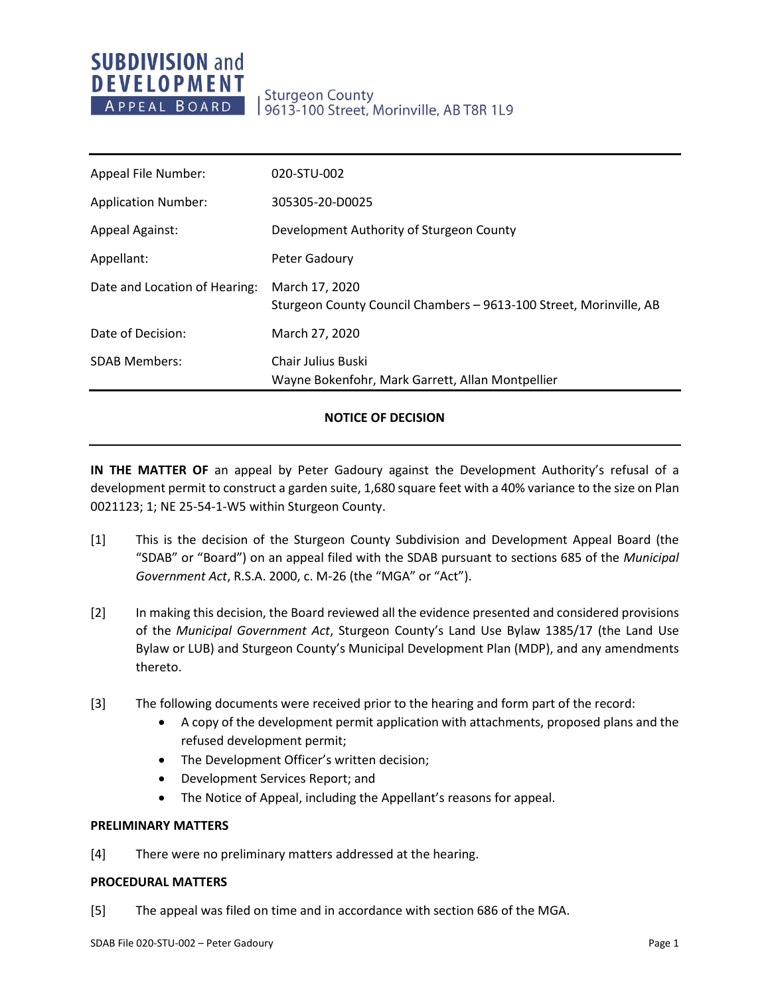# **Sturgeon County** 9613-100 Street, Morinville, AB T8R 1L9

| Appeal File Number:           | 020-STU-002                                                                          |
|-------------------------------|--------------------------------------------------------------------------------------|
| <b>Application Number:</b>    | 305305-20-D0025                                                                      |
| <b>Appeal Against:</b>        | Development Authority of Sturgeon County                                             |
| Appellant:                    | Peter Gadoury                                                                        |
| Date and Location of Hearing: | March 17, 2020<br>Sturgeon County Council Chambers - 9613-100 Street, Morinville, AB |
| Date of Decision:             | March 27, 2020                                                                       |
| <b>SDAB Members:</b>          | Chair Julius Buski<br>Wayne Bokenfohr, Mark Garrett, Allan Montpellier               |

## **NOTICE OF DECISION**

**IN THE MATTER OF** an appeal by Peter Gadoury against the Development Authority's refusal of a development permit to construct a garden suite, 1,680 square feet with a 40% variance to the size on Plan 0021123; 1; NE 25-54-1-W5 within Sturgeon County.

- [1] This is the decision of the Sturgeon County Subdivision and Development Appeal Board (the "SDAB" or "Board") on an appeal filed with the SDAB pursuant to sections 685 of the *Municipal Government Act*, R.S.A. 2000, c. M-26 (the "MGA" or "Act").
- [2] In making this decision, the Board reviewed all the evidence presented and considered provisions of the *Municipal Government Act*, Sturgeon County's Land Use Bylaw 1385/17 (the Land Use Bylaw or LUB) and Sturgeon County's Municipal Development Plan (MDP), and any amendments thereto.
- [3] The following documents were received prior to the hearing and form part of the record:
	- A copy of the development permit application with attachments, proposed plans and the refused development permit;
	- The Development Officer's written decision;
	- Development Services Report; and
	- The Notice of Appeal, including the Appellant's reasons for appeal.

### **PRELIMINARY MATTERS**

[4] There were no preliminary matters addressed at the hearing.

### **PROCEDURAL MATTERS**

[5] The appeal was filed on time and in accordance with section 686 of the MGA.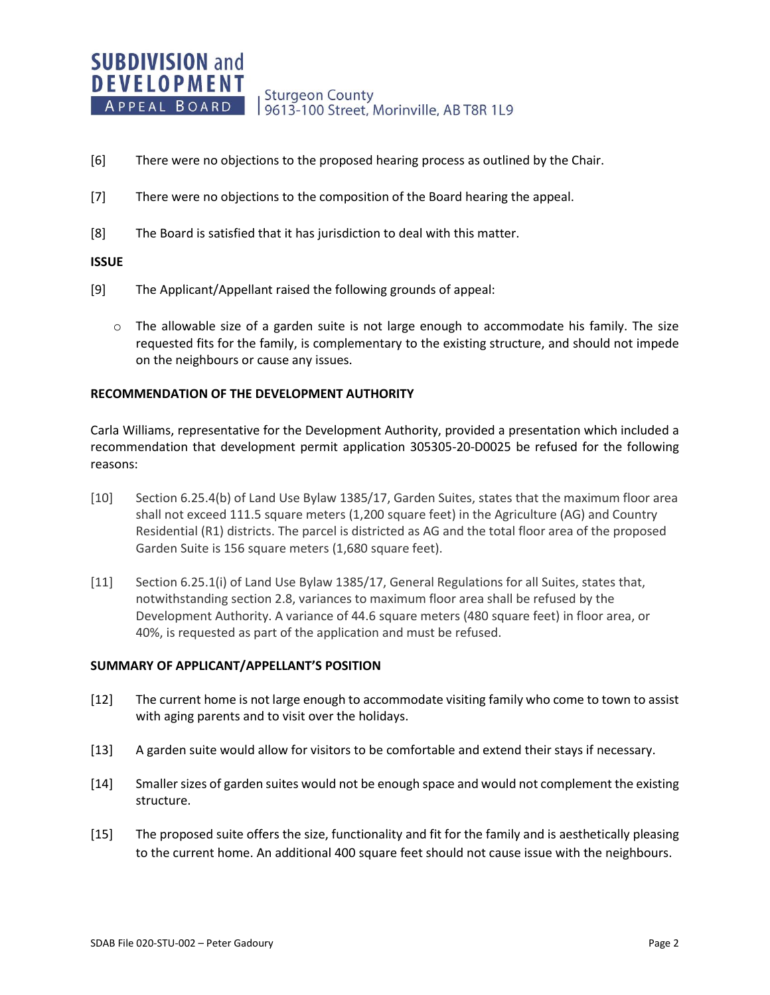- [6] There were no objections to the proposed hearing process as outlined by the Chair.
- [7] There were no objections to the composition of the Board hearing the appeal.
- [8] The Board is satisfied that it has jurisdiction to deal with this matter.

### **ISSUE**

- [9] The Applicant/Appellant raised the following grounds of appeal:
	- $\circ$  The allowable size of a garden suite is not large enough to accommodate his family. The size requested fits for the family, is complementary to the existing structure, and should not impede on the neighbours or cause any issues.

### **RECOMMENDATION OF THE DEVELOPMENT AUTHORITY**

Carla Williams, representative for the Development Authority, provided a presentation which included a recommendation that development permit application 305305-20-D0025 be refused for the following reasons:

- [10] Section 6.25.4(b) of Land Use Bylaw 1385/17, Garden Suites, states that the maximum floor area shall not exceed 111.5 square meters (1,200 square feet) in the Agriculture (AG) and Country Residential (R1) districts. The parcel is districted as AG and the total floor area of the proposed Garden Suite is 156 square meters (1,680 square feet).
- [11] Section 6.25.1(i) of Land Use Bylaw 1385/17, General Regulations for all Suites, states that, notwithstanding section 2.8, variances to maximum floor area shall be refused by the Development Authority. A variance of 44.6 square meters (480 square feet) in floor area, or 40%, is requested as part of the application and must be refused.

### **SUMMARY OF APPLICANT/APPELLANT'S POSITION**

- [12] The current home is not large enough to accommodate visiting family who come to town to assist with aging parents and to visit over the holidays.
- [13] A garden suite would allow for visitors to be comfortable and extend their stays if necessary.
- [14] Smaller sizes of garden suites would not be enough space and would not complement the existing structure.
- [15] The proposed suite offers the size, functionality and fit for the family and is aesthetically pleasing to the current home. An additional 400 square feet should not cause issue with the neighbours.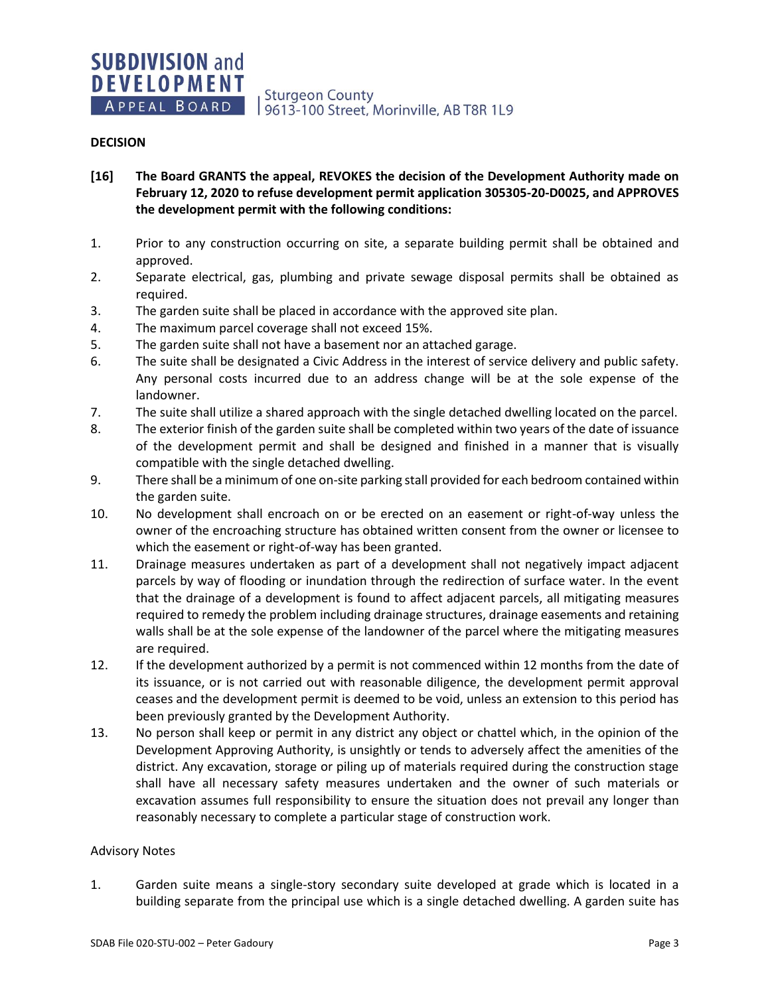## **DECISION**

- **[16] The Board GRANTS the appeal, REVOKES the decision of the Development Authority made on February 12, 2020 to refuse development permit application 305305-20-D0025, and APPROVES the development permit with the following conditions:**
- 1. Prior to any construction occurring on site, a separate building permit shall be obtained and approved.
- 2. Separate electrical, gas, plumbing and private sewage disposal permits shall be obtained as required.
- 3. The garden suite shall be placed in accordance with the approved site plan.
- 4. The maximum parcel coverage shall not exceed 15%.
- 5. The garden suite shall not have a basement nor an attached garage.
- 6. The suite shall be designated a Civic Address in the interest of service delivery and public safety. Any personal costs incurred due to an address change will be at the sole expense of the landowner.
- 7. The suite shall utilize a shared approach with the single detached dwelling located on the parcel.
- 8. The exterior finish of the garden suite shall be completed within two years of the date of issuance of the development permit and shall be designed and finished in a manner that is visually compatible with the single detached dwelling.
- 9. There shall be a minimum of one on-site parking stall provided for each bedroom contained within the garden suite.
- 10. No development shall encroach on or be erected on an easement or right-of-way unless the owner of the encroaching structure has obtained written consent from the owner or licensee to which the easement or right-of-way has been granted.
- 11. Drainage measures undertaken as part of a development shall not negatively impact adjacent parcels by way of flooding or inundation through the redirection of surface water. In the event that the drainage of a development is found to affect adjacent parcels, all mitigating measures required to remedy the problem including drainage structures, drainage easements and retaining walls shall be at the sole expense of the landowner of the parcel where the mitigating measures are required.
- 12. If the development authorized by a permit is not commenced within 12 months from the date of its issuance, or is not carried out with reasonable diligence, the development permit approval ceases and the development permit is deemed to be void, unless an extension to this period has been previously granted by the Development Authority.
- 13. No person shall keep or permit in any district any object or chattel which, in the opinion of the Development Approving Authority, is unsightly or tends to adversely affect the amenities of the district. Any excavation, storage or piling up of materials required during the construction stage shall have all necessary safety measures undertaken and the owner of such materials or excavation assumes full responsibility to ensure the situation does not prevail any longer than reasonably necessary to complete a particular stage of construction work.

### Advisory Notes

1. Garden suite means a single-story secondary suite developed at grade which is located in a building separate from the principal use which is a single detached dwelling. A garden suite has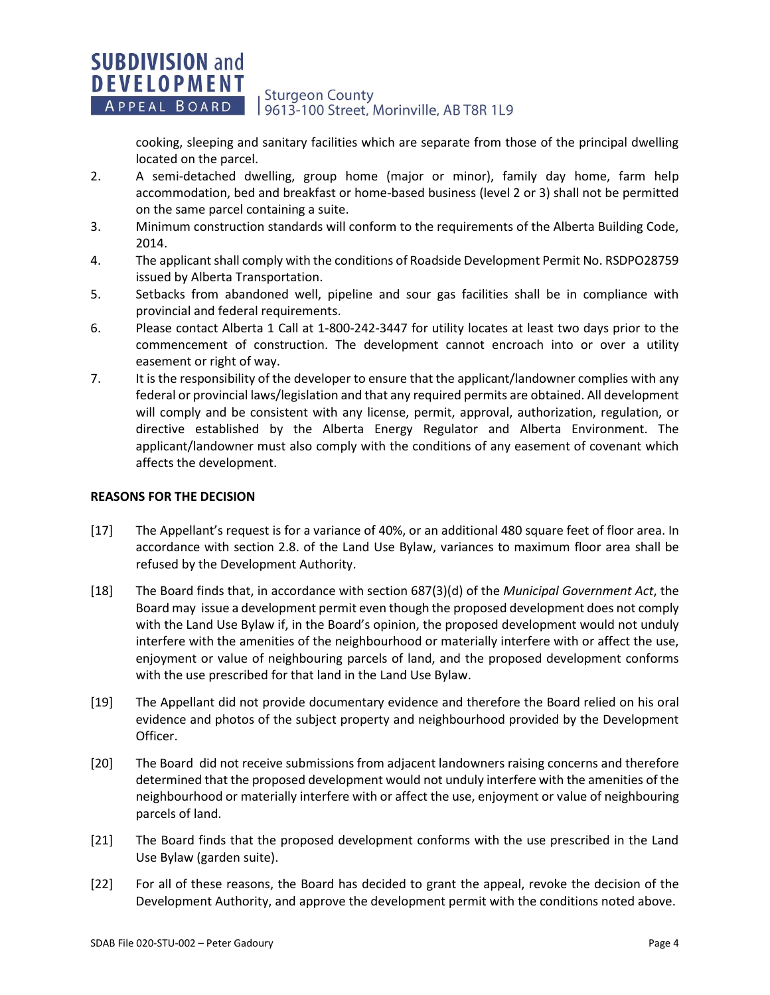### **SUBDIVISION and DEVELOPMENT Sturgeon County** APPEAL BOARD 19613-100 Street, Morinville, AB T8R 1L9

cooking, sleeping and sanitary facilities which are separate from those of the principal dwelling located on the parcel.

- 2. A semi-detached dwelling, group home (major or minor), family day home, farm help accommodation, bed and breakfast or home-based business (level 2 or 3) shall not be permitted on the same parcel containing a suite.
- 3. Minimum construction standards will conform to the requirements of the Alberta Building Code, 2014.
- 4. The applicant shall comply with the conditions of Roadside Development Permit No. RSDPO28759 issued by Alberta Transportation.
- 5. Setbacks from abandoned well, pipeline and sour gas facilities shall be in compliance with provincial and federal requirements.
- 6. Please contact Alberta 1 Call at 1-800-242-3447 for utility locates at least two days prior to the commencement of construction. The development cannot encroach into or over a utility easement or right of way.
- 7. It is the responsibility of the developer to ensure that the applicant/landowner complies with any federal or provincial laws/legislation and that any required permits are obtained. All development will comply and be consistent with any license, permit, approval, authorization, regulation, or directive established by the Alberta Energy Regulator and Alberta Environment. The applicant/landowner must also comply with the conditions of any easement of covenant which affects the development.

## **REASONS FOR THE DECISION**

- [17] The Appellant's request is for a variance of 40%, or an additional 480 square feet of floor area. In accordance with section 2.8. of the Land Use Bylaw, variances to maximum floor area shall be refused by the Development Authority.
- [18] The Board finds that, in accordance with section 687(3)(d) of the *Municipal Government Act*, the Board may issue a development permit even though the proposed development does not comply with the Land Use Bylaw if, in the Board's opinion, the proposed development would not unduly interfere with the amenities of the neighbourhood or materially interfere with or affect the use, enjoyment or value of neighbouring parcels of land, and the proposed development conforms with the use prescribed for that land in the Land Use Bylaw.
- [19] The Appellant did not provide documentary evidence and therefore the Board relied on his oral evidence and photos of the subject property and neighbourhood provided by the Development Officer.
- [20] The Board did not receive submissions from adjacent landowners raising concerns and therefore determined that the proposed development would not unduly interfere with the amenities of the neighbourhood or materially interfere with or affect the use, enjoyment or value of neighbouring parcels of land.
- [21] The Board finds that the proposed development conforms with the use prescribed in the Land Use Bylaw (garden suite).
- [22] For all of these reasons, the Board has decided to grant the appeal, revoke the decision of the Development Authority, and approve the development permit with the conditions noted above.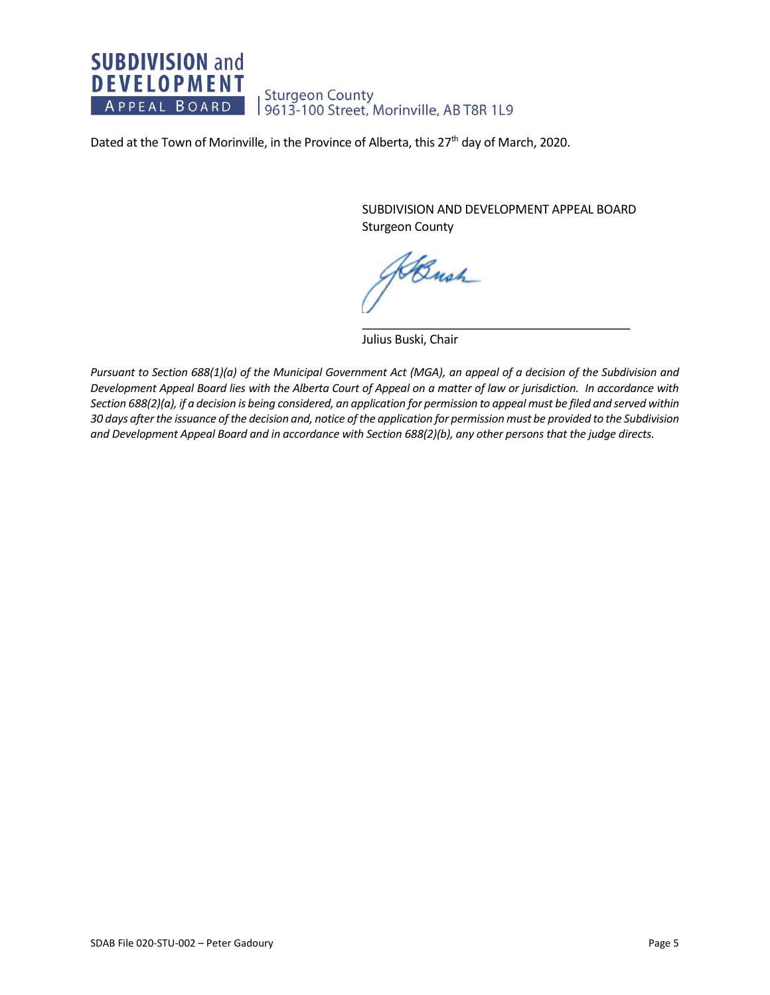

Dated at the Town of Morinville, in the Province of Alberta, this 27<sup>th</sup> day of March, 2020.

SUBDIVISION AND DEVELOPMENT APPEAL BOARD Sturgeon County

\_\_\_\_\_\_\_\_\_\_\_\_\_\_\_\_\_\_\_\_\_\_\_\_\_\_\_\_\_\_\_\_\_\_\_\_\_\_\_\_

Bush

Julius Buski, Chair

*Pursuant to Section 688(1)(a) of the Municipal Government Act (MGA), an appeal of a decision of the Subdivision and Development Appeal Board lies with the Alberta Court of Appeal on a matter of law or jurisdiction. In accordance with Section 688(2)(a), if a decision is being considered, an application for permission to appeal must be filed and served within 30 days after the issuance of the decision and, notice of the application for permission must be provided to the Subdivision and Development Appeal Board and in accordance with Section 688(2)(b), any other persons that the judge directs.*